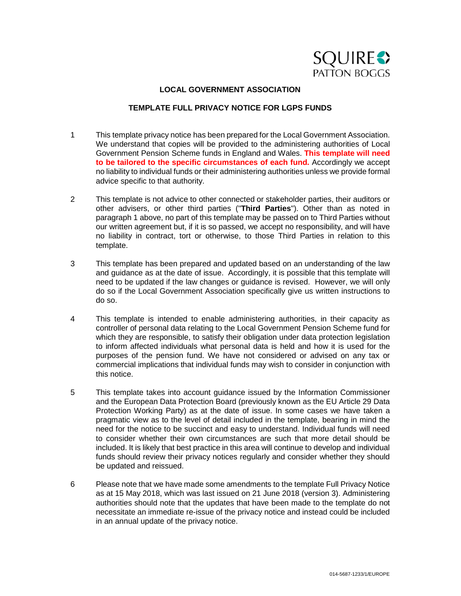

## **LOCAL GOVERNMENT ASSOCIATION**

# **TEMPLATE FULL PRIVACY NOTICE FOR LGPS FUNDS**

- 1 This template privacy notice has been prepared for the Local Government Association. We understand that copies will be provided to the administering authorities of Local Government Pension Scheme funds in England and Wales. **This template will need to be tailored to the specific circumstances of each fund.** Accordingly we accept no liability to individual funds or their administering authorities unless we provide formal advice specific to that authority.
- 2 This template is not advice to other connected or stakeholder parties, their auditors or other advisers, or other third parties ("**Third Parties**"). Other than as noted in paragraph 1 above, no part of this template may be passed on to Third Parties without our written agreement but, if it is so passed, we accept no responsibility, and will have no liability in contract, tort or otherwise, to those Third Parties in relation to this template.
- 3 This template has been prepared and updated based on an understanding of the law and guidance as at the date of issue. Accordingly, it is possible that this template will need to be updated if the law changes or guidance is revised. However, we will only do so if the Local Government Association specifically give us written instructions to do so.
- 4 This template is intended to enable administering authorities, in their capacity as controller of personal data relating to the Local Government Pension Scheme fund for which they are responsible, to satisfy their obligation under data protection legislation to inform affected individuals what personal data is held and how it is used for the purposes of the pension fund. We have not considered or advised on any tax or commercial implications that individual funds may wish to consider in conjunction with this notice.
- 5 This template takes into account guidance issued by the Information Commissioner and the European Data Protection Board (previously known as the EU Article 29 Data Protection Working Party) as at the date of issue. In some cases we have taken a pragmatic view as to the level of detail included in the template, bearing in mind the need for the notice to be succinct and easy to understand. Individual funds will need to consider whether their own circumstances are such that more detail should be included. It is likely that best practice in this area will continue to develop and individual funds should review their privacy notices regularly and consider whether they should be updated and reissued.
- 6 Please note that we have made some amendments to the template Full Privacy Notice as at 15 May 2018, which was last issued on 21 June 2018 (version 3). Administering authorities should note that the updates that have been made to the template do not necessitate an immediate re-issue of the privacy notice and instead could be included in an annual update of the privacy notice.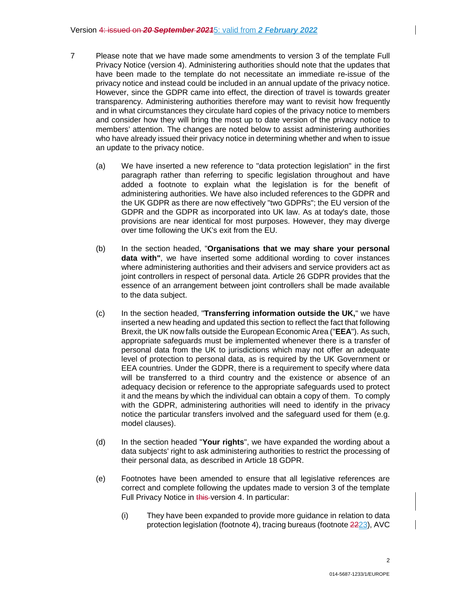- 7 Please note that we have made some amendments to version 3 of the template Full Privacy Notice (version 4). Administering authorities should note that the updates that have been made to the template do not necessitate an immediate re-issue of the privacy notice and instead could be included in an annual update of the privacy notice. However, since the GDPR came into effect, the direction of travel is towards greater transparency. Administering authorities therefore may want to revisit how frequently and in what circumstances they circulate hard copies of the privacy notice to members and consider how they will bring the most up to date version of the privacy notice to members' attention. The changes are noted below to assist administering authorities who have already issued their privacy notice in determining whether and when to issue an update to the privacy notice.
	- (a) We have inserted a new reference to "data protection legislation" in the first paragraph rather than referring to specific legislation throughout and have added a footnote to explain what the legislation is for the benefit of administering authorities. We have also included references to the GDPR and the UK GDPR as there are now effectively "two GDPRs"; the EU version of the GDPR and the GDPR as incorporated into UK law. As at today's date, those provisions are near identical for most purposes. However, they may diverge over time following the UK's exit from the EU.
	- (b) In the section headed, "**Organisations that we may share your personal data with"**, we have inserted some additional wording to cover instances where administering authorities and their advisers and service providers act as joint controllers in respect of personal data. Article 26 GDPR provides that the essence of an arrangement between joint controllers shall be made available to the data subject.
	- (c) In the section headed, "**Transferring information outside the UK,**" we have inserted a new heading and updated this section to reflect the fact that following Brexit, the UK now falls outside the European Economic Area ("**EEA**"). As such, appropriate safeguards must be implemented whenever there is a transfer of personal data from the UK to jurisdictions which may not offer an adequate level of protection to personal data, as is required by the UK Government or EEA countries. Under the GDPR, there is a requirement to specify where data will be transferred to a third country and the existence or absence of an adequacy decision or reference to the appropriate safeguards used to protect it and the means by which the individual can obtain a copy of them. To comply with the GDPR, administering authorities will need to identify in the privacy notice the particular transfers involved and the safeguard used for them (e.g. model clauses).
	- (d) In the section headed "**Your rights**", we have expanded the wording about a data subjects' right to ask administering authorities to restrict the processing of their personal data, as described in Article 18 GDPR.
	- (e) Footnotes have been amended to ensure that all legislative references are correct and complete following the updates made to version 3 of the template Full Privacy Notice in this version 4. In particular:
		- (i) They have been expanded to provide more guidance in relation to data protection legislation (footnote 4), tracing bureaus (footnote 2223), AVC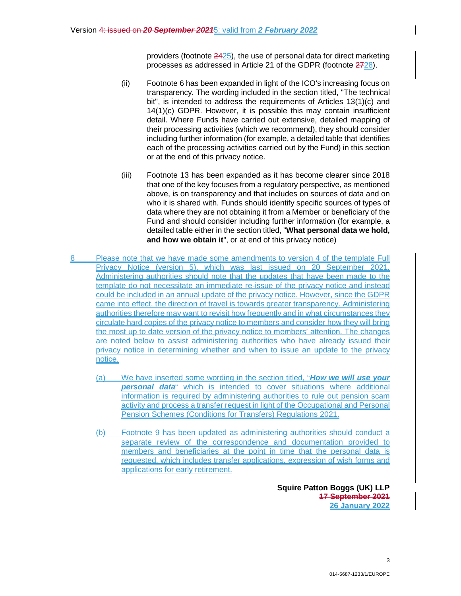providers (footnote  $2425$ ), the use of personal data for direct marketing processes as addressed in Article 21 of the GDPR (footnote  $2728$ ).

- (ii) Footnote 6 has been expanded in light of the ICO's increasing focus on transparency. The wording included in the section titled, "The technical bit", is intended to address the requirements of Articles 13(1)(c) and 14(1)(c) GDPR. However, it is possible this may contain insufficient detail. Where Funds have carried out extensive, detailed mapping of their processing activities (which we recommend), they should consider including further information (for example, a detailed table that identifies each of the processing activities carried out by the Fund) in this section or at the end of this privacy notice.
- (iii) Footnote 13 has been expanded as it has become clearer since 2018 that one of the key focuses from a regulatory perspective, as mentioned above, is on transparency and that includes on sources of data and on who it is shared with. Funds should identify specific sources of types of data where they are not obtaining it from a Member or beneficiary of the Fund and should consider including further information (for example, a detailed table either in the section titled, "**What personal data we hold, and how we obtain it**", or at end of this privacy notice)
- 8 Please note that we have made some amendments to version 4 of the template Full Privacy Notice (version 5), which was last issued on 20 September 2021. Administering authorities should note that the updates that have been made to the template do not necessitate an immediate re-issue of the privacy notice and instead could be included in an annual update of the privacy notice. However, since the GDPR came into effect, the direction of travel is towards greater transparency. Administering authorities therefore may want to revisit how frequently and in what circumstances they circulate hard copies of the privacy notice to members and consider how they will bring the most up to date version of the privacy notice to members' attention. The changes are noted below to assist administering authorities who have already issued their privacy notice in determining whether and when to issue an update to the privacy notice.
	- (a) We have inserted some wording in the section titled, "*How we will use your personal data*" which is intended to cover situations where additional information is required by administering authorities to rule out pension scam activity and process a transfer request in light of the Occupational and Personal Pension Schemes (Conditions for Transfers) Regulations 2021.
	- (b) Footnote 9 has been updated as administering authorities should conduct a separate review of the correspondence and documentation provided to members and beneficiaries at the point in time that the personal data is requested, which includes transfer applications, expression of wish forms and applications for early retirement.

**Squire Patton Boggs (UK) LLP 17 September 2021 26 January 2022**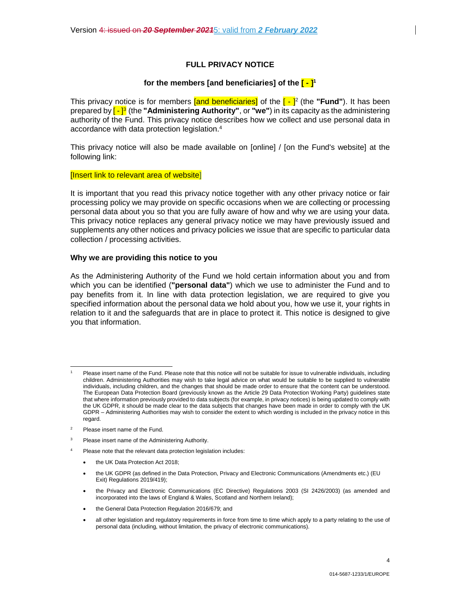# **FULL PRIVACY NOTICE**

## **for the members [and beneficiaries] of the [ - ]<sup>1</sup>**

This privacy notice is for members **[and beneficiaries]** of the [ - ]<sup>2</sup> (the "**Fund**"). It has been prepared by <mark>[ - ]<sup>3</sup></mark> (the "**Administering Authority**", or "we") in its capacity as the administering authority of the Fund. This privacy notice describes how we collect and use personal data in accordance with data protection legislation.<sup>4</sup>

This privacy notice will also be made available on [online] / [on the Fund's website] at the following link:

#### [Insert link to relevant area of website]

It is important that you read this privacy notice together with any other privacy notice or fair processing policy we may provide on specific occasions when we are collecting or processing personal data about you so that you are fully aware of how and why we are using your data. This privacy notice replaces any general privacy notice we may have previously issued and supplements any other notices and privacy policies we issue that are specific to particular data collection / processing activities.

#### **Why we are providing this notice to you**

As the Administering Authority of the Fund we hold certain information about you and from which you can be identified (**"personal data"**) which we use to administer the Fund and to pay benefits from it. In line with data protection legislation, we are required to give you specified information about the personal data we hold about you, how we use it, your rights in relation to it and the safeguards that are in place to protect it. This notice is designed to give you that information.

- 2 Please insert name of the Fund.
- 3 Please insert name of the Administering Authority.
- 4 Please note that the relevant data protection legislation includes:
	- the UK Data Protection Act 2018;
	- the UK GDPR (as defined in the Data Protection, Privacy and Electronic Communications (Amendments etc.) (EU Exit) Regulations 2019/419);
	- the Privacy and Electronic Communications (EC Directive) Regulations 2003 (SI 2426/2003) (as amended and incorporated into the laws of England & Wales, Scotland and Northern Ireland);
	- the General Data Protection Regulation 2016/679; and
	- all other legislation and regulatory requirements in force from time to time which apply to a party relating to the use of personal data (including, without limitation, the privacy of electronic communications).

<sup>1</sup> Please insert name of the Fund. Please note that this notice will not be suitable for issue to vulnerable individuals, including children. Administering Authorities may wish to take legal advice on what would be suitable to be supplied to vulnerable individuals, including children, and the changes that should be made order to ensure that the content can be understood. The European Data Protection Board (previously known as the Article 29 Data Protection Working Party) guidelines state that where information previously provided to data subjects (for example, in privacy notices) is being updated to comply with the UK GDPR, it should be made clear to the data subjects that changes have been made in order to comply with the UK GDPR – Administering Authorities may wish to consider the extent to which wording is included in the privacy notice in this regard.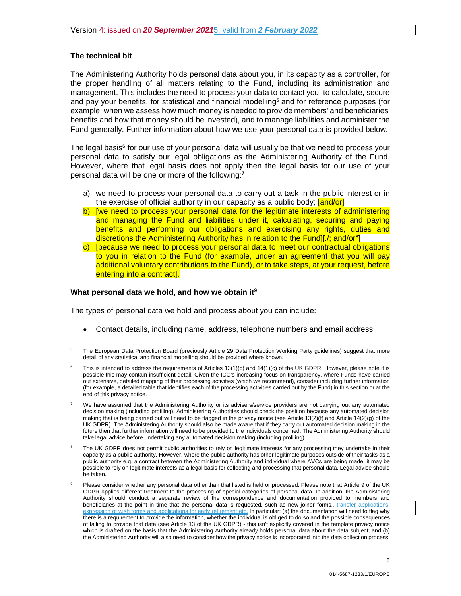#### **The technical bit**

The Administering Authority holds personal data about you, in its capacity as a controller, for the proper handling of all matters relating to the Fund, including its administration and management. This includes the need to process your data to contact you, to calculate, secure and pay your benefits, for statistical and financial modelling<sup>5</sup> and for reference purposes (for example, when we assess how much money is needed to provide members' and beneficiaries' benefits and how that money should be invested), and to manage liabilities and administer the Fund generally. Further information about how we use your personal data is provided below.

The legal basis<sup>6</sup> for our use of your personal data will usually be that we need to process your personal data to satisfy our legal obligations as the Administering Authority of the Fund. However, where that legal basis does not apply then the legal basis for our use of your personal data will be one or more of the following:**<sup>7</sup>**

- a) we need to process your personal data to carry out a task in the public interest or in the exercise of official authority in our capacity as a public body;  $[and/or]$
- b) [we need to process your personal data for the legitimate interests of administering and managing the Fund and liabilities under it, calculating, securing and paying benefits and performing our obligations and exercising any rights, duties and discretions the Administering Authority has in relation to the Fund][./; and/or<sup>8</sup>]
- c) [because we need to process your personal data to meet our contractual obligations to you in relation to the Fund (for example, under an agreement that you will pay additional voluntary contributions to the Fund), or to take steps, at your request, before entering into a contract].

#### **What personal data we hold, and how we obtain it<sup>9</sup>**

The types of personal data we hold and process about you can include:

Contact details, including name, address, telephone numbers and email address.

<sup>5</sup> The European Data Protection Board (previously Article 29 Data Protection Working Party guidelines) suggest that more detail of any statistical and financial modelling should be provided where known.

<sup>6</sup> This is intended to address the requirements of Articles 13(1)(c) and 14(1)(c) of the UK GDPR. However, please note it is possible this may contain insufficient detail. Given the ICO's increasing focus on transparency, where Funds have carried out extensive, detailed mapping of their processing activities (which we recommend), consider including further information (for example, a detailed table that identifies each of the processing activities carried out by the Fund) in this section or at the end of this privacy notice.

<sup>7</sup> We have assumed that the Administering Authority or its advisers/service providers are not carrying out any automated decision making (including profiling). Administering Authorities should check the position because any automated decision making that is being carried out will need to be flagged in the privacy notice (see Article 13(2)(f) and Article 14(2)(g) of the UK GDPR). The Administering Authority should also be made aware that if they carry out automated decision making in the future then that further information will need to be provided to the individuals concerned. The Administering Authority should take legal advice before undertaking any automated decision making (including profiling).

<sup>8</sup> The UK GDPR does not permit public authorities to rely on legitimate interests for any processing they undertake in their capacity as a public authority. However, where the public authority has other legitimate purposes outside of their tasks as a public authority e.g. a contract between the Administering Authority and individual where AVCs are being made, it may be possible to rely on legitimate interests as a legal basis for collecting and processing that personal data. Legal advice should be taken.

<sup>9</sup> Please consider whether any personal data other than that listed is held or processed. Please note that Article 9 of the UK GDPR applies different treatment to the processing of special categories of personal data. In addition, the Administering Authority should conduct a separate review of the correspondence and documentation provided to members and beneficiaries at the point in time that the personal data is requested, such as new joiner forms., transfer applications, expression of wish forms and applications for early retirement etc. In particular: (a) the documentation will need to flag why there is a requirement to provide the information, whether the individual is obliged to do so and the possible consequences of failing to provide that data (see Article 13 of the UK GDPR) - this isn't explicitly covered in the template privacy notice which is drafted on the basis that the Administering Authority already holds personal data about the data subject; and (b) the Administering Authority will also need to consider how the privacy notice is incorporated into the data collection process.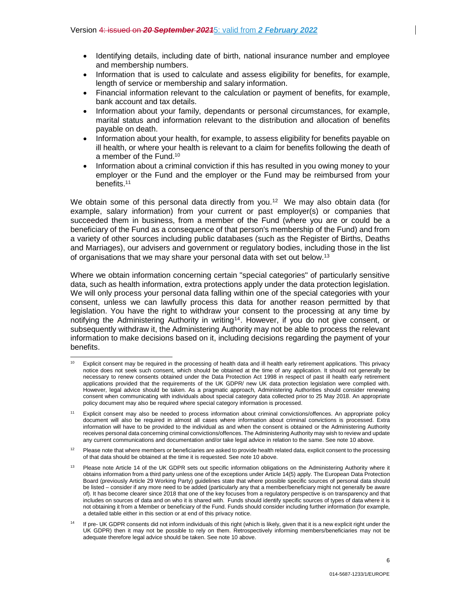- Information that is used to calculate and assess eligibility for benefits, for example, length of service or membership and salary information.
- Financial information relevant to the calculation or payment of benefits, for example, bank account and tax details.
- Information about your family, dependants or personal circumstances, for example, marital status and information relevant to the distribution and allocation of benefits payable on death.
- Information about your health, for example, to assess eligibility for benefits payable on ill health, or where your health is relevant to a claim for benefits following the death of a member of the Fund.<sup>10</sup>
- Information about a criminal conviction if this has resulted in you owing money to your employer or the Fund and the employer or the Fund may be reimbursed from your benefits.<sup>11</sup>

We obtain some of this personal data directly from you.<sup>12</sup> We may also obtain data (for example, salary information) from your current or past employer(s) or companies that succeeded them in business, from a member of the Fund (where you are or could be a beneficiary of the Fund as a consequence of that person's membership of the Fund) and from a variety of other sources including public databases (such as the Register of Births, Deaths and Marriages), our advisers and government or regulatory bodies, including those in the list of organisations that we may share your personal data with set out below.<sup>13</sup>

Where we obtain information concerning certain "special categories" of particularly sensitive data, such as health information, extra protections apply under the data protection legislation. We will only process your personal data falling within one of the special categories with your consent, unless we can lawfully process this data for another reason permitted by that legislation. You have the right to withdraw your consent to the processing at any time by notifying the Administering Authority in writing<sup>14</sup>. However, if you do not give consent, or subsequently withdraw it, the Administering Authority may not be able to process the relevant information to make decisions based on it, including decisions regarding the payment of your benefits.

<sup>&</sup>lt;sup>10</sup> Explicit consent may be required in the processing of health data and ill health early retirement applications. This privacy notice does not seek such consent, which should be obtained at the time of any application. It should not generally be necessary to renew consents obtained under the Data Protection Act 1998 in respect of past ill health early retirement applications provided that the requirements of the UK GDPR/ new UK data protection legislation were complied with. However, legal advice should be taken. As a pragmatic approach, Administering Authorities should consider renewing consent when communicating with individuals about special category data collected prior to 25 May 2018. An appropriate policy document may also be required where special category information is processed.

<sup>11</sup> Explicit consent may also be needed to process information about criminal convictions/offences. An appropriate policy document will also be required in almost all cases where information about criminal convictions is processed. Extra information will have to be provided to the individual as and when the consent is obtained or the Administering Authority receives personal data concerning criminal convictions/offences. The Administering Authority may wish to review and update any current communications and documentation and/or take legal advice in relation to the same. See note 10 above.

 $12$  Please note that where members or beneficiaries are asked to provide health related data, explicit consent to the processing of that data should be obtained at the time it is requested. See note 10 above.

Please note Article 14 of the UK GDPR sets out specific information obligations on the Administering Authority where it obtains information from a third party unless one of the exceptions under Article 14(5) apply. The European Data Protection Board (previously Article 29 Working Party) guidelines state that where possible specific sources of personal data should be listed – consider if any more need to be added (particularly any that a member/beneficiary might not generally be aware of). It has become clearer since 2018 that one of the key focuses from a regulatory perspective is on transparency and that includes on sources of data and on who it is shared with. Funds should identify specific sources of types of data where it is not obtaining it from a Member or beneficiary of the Fund. Funds should consider including further information (for example, a detailed table either in this section or at end of this privacy notice.

<sup>14</sup> If pre- UK GDPR consents did not inform individuals of this right (which is likely, given that it is a new explicit right under the UK GDPR) then it may not be possible to rely on them. Retrospectively informing members/beneficiaries may not be adequate therefore legal advice should be taken. See note 10 above.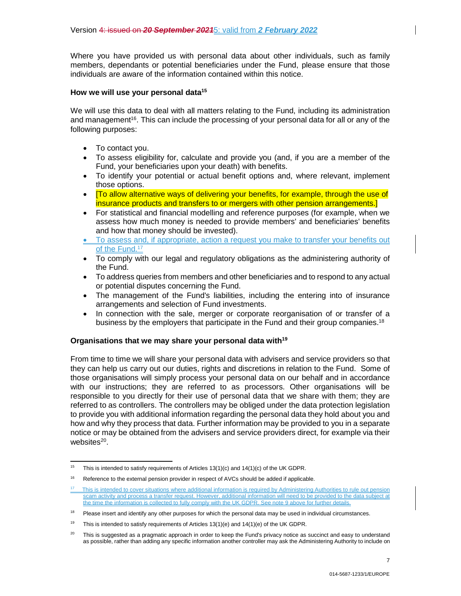Where you have provided us with personal data about other individuals, such as family members, dependants or potential beneficiaries under the Fund, please ensure that those individuals are aware of the information contained within this notice.

## **How we will use your personal data<sup>15</sup>**

We will use this data to deal with all matters relating to the Fund, including its administration and management<sup>16</sup>. This can include the processing of your personal data for all or any of the following purposes:

- To contact you.
- To assess eligibility for, calculate and provide you (and, if you are a member of the Fund, your beneficiaries upon your death) with benefits.
- To identify your potential or actual benefit options and, where relevant, implement those options.
- [To allow alternative ways of delivering your benefits, for example, through the use of insurance products and transfers to or mergers with other pension arrangements.]
- For statistical and financial modelling and reference purposes (for example, when we assess how much money is needed to provide members' and beneficiaries' benefits and how that money should be invested).
- To assess and, if appropriate, action a request you make to transfer your benefits out of the Fund.<sup>17</sup>
- To comply with our legal and regulatory obligations as the administering authority of the Fund.
- To address queries from members and other beneficiaries and to respond to any actual or potential disputes concerning the Fund.
- The management of the Fund's liabilities, including the entering into of insurance arrangements and selection of Fund investments.
- In connection with the sale, merger or corporate reorganisation of or transfer of a business by the employers that participate in the Fund and their group companies.<sup>18</sup>

# **Organisations that we may share your personal data with<sup>19</sup>**

From time to time we will share your personal data with advisers and service providers so that they can help us carry out our duties, rights and discretions in relation to the Fund. Some of those organisations will simply process your personal data on our behalf and in accordance with our instructions; they are referred to as processors. Other organisations will be responsible to you directly for their use of personal data that we share with them; they are referred to as controllers. The controllers may be obliged under the data protection legislation to provide you with additional information regarding the personal data they hold about you and how and why they process that data. Further information may be provided to you in a separate notice or may be obtained from the advisers and service providers direct, for example via their websites<sup>20</sup>.

<sup>&</sup>lt;sup>15</sup> This is intended to satisfy requirements of Articles 13(1)(c) and 14(1)(c) of the UK GDPR.

<sup>&</sup>lt;sup>16</sup> Reference to the external pension provider in respect of AVCs should be added if applicable.

This is intended to cover situations where additional information is required by Administering Authorities to rule out pension scam activity and process a transfer request. However, additional information will need to be provided to the data subject at the time the information is collected to fully comply with the UK GDPR. See note 9 above for further details.

 $18$  Please insert and identify any other purposes for which the personal data may be used in individual circumstances.

<sup>&</sup>lt;sup>19</sup> This is intended to satisfy requirements of Articles  $13(1)(e)$  and  $14(1)(e)$  of the UK GDPR.

<sup>&</sup>lt;sup>20</sup> This is suggested as a pragmatic approach in order to keep the Fund's privacy notice as succinct and easy to understand as possible, rather than adding any specific information another controller may ask the Administering Authority to include on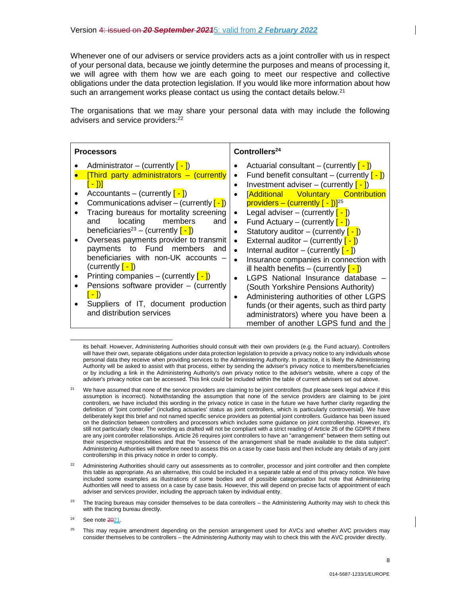Whenever one of our advisers or service providers acts as a joint controller with us in respect of your personal data, because we jointly determine the purposes and means of processing it, we will agree with them how we are each going to meet our respective and collective obligations under the data protection legislation. If you would like more information about how such an arrangement works please contact us using the contact details below.<sup>21</sup>

The organisations that we may share your personal data with may include the following advisers and service providers:<sup>22</sup>

| <b>Processors</b>                                                                                                                                                                                                                                                                                                                                                                                                                                                                                                                                                                             | Controllers <sup>24</sup>                                                                                                                                                                                                                                                                                                                                                                                                                                                                                                                                                                                                                                                                                                                                                                                                                                          |
|-----------------------------------------------------------------------------------------------------------------------------------------------------------------------------------------------------------------------------------------------------------------------------------------------------------------------------------------------------------------------------------------------------------------------------------------------------------------------------------------------------------------------------------------------------------------------------------------------|--------------------------------------------------------------------------------------------------------------------------------------------------------------------------------------------------------------------------------------------------------------------------------------------------------------------------------------------------------------------------------------------------------------------------------------------------------------------------------------------------------------------------------------------------------------------------------------------------------------------------------------------------------------------------------------------------------------------------------------------------------------------------------------------------------------------------------------------------------------------|
| Administrator – (currently $[-]$ )<br>$[Third$ party administrators $-$ (currently<br><u>[ - ])]</u><br>Accountants – (currently $[-]$ )<br>Communications adviser – (currently $[-]$ )<br>Tracing bureaus for mortality screening<br>members<br>locating<br>and<br>and<br>beneficiaries <sup>23</sup> – (currently $\left[-\right]$ )<br>Overseas payments provider to transmit<br>payments to Fund members and<br>beneficiaries with non-UK accounts -<br>(currently $\lceil - \rceil$ )<br>Printing companies – (currently $\left[-\right]$ )<br>Pensions software provider $-$ (currently | Actuarial consultant – (currently $\left[-\right]$ )<br>Fund benefit consultant – (currently $\left[-\right]$ )<br>٠<br>Investment adviser – (currently $\left[-\right]$ )<br>$\bullet$<br>[Additional Voluntary Contribution<br>$\bullet$<br>providers – (currently $[-1]$ <sup>25</sup><br>Legal adviser – (currently $\lceil - \rceil$ )<br>$\bullet$<br>Fund Actuary – (currently $[-]$ )<br>$\bullet$<br>Statutory auditor – (currently $\left[-\right]$ )<br>$\bullet$<br>External auditor $-$ (currently $\left[-\right]$ )<br>$\bullet$<br>Internal auditor – (currently $\left[-\right]$ )<br>$\bullet$<br>Insurance companies in connection with<br>$\bullet$<br>ill health benefits – (currently $\left[-\right]$ )<br>LGPS National Insurance database<br>(South Yorkshire Pensions Authority)<br>Administering authorities of other LGPS<br>$\bullet$ |
| Suppliers of IT, document production<br>and distribution services                                                                                                                                                                                                                                                                                                                                                                                                                                                                                                                             | funds (or their agents, such as third party<br>administrators) where you have been a<br>member of another LGPS fund and the                                                                                                                                                                                                                                                                                                                                                                                                                                                                                                                                                                                                                                                                                                                                        |

its behalf. However, Administering Authorities should consult with their own providers (e.g. the Fund actuary). Controllers will have their own, separate obligations under data protection legislation to provide a privacy notice to any individuals whose personal data they receive when providing services to the Administering Authority. In practice, it is likely the Administering Authority will be asked to assist with that process, either by sending the adviser's privacy notice to members/beneficiaries or by including a link in the Administering Authority's own privacy notice to the adviser's website, where a copy of the adviser's privacy notice can be accessed. This link could be included within the table of current advisers set out above.

<sup>21</sup> We have assumed that none of the service providers are claiming to be joint controllers (but please seek legal advice if this assumption is incorrect). Notwithstanding the assumption that none of the service providers are claiming to be joint controllers, we have included this wording in the privacy notice in case in the future we have further clarity regarding the definition of "joint controller" (including actuaries' status as joint controllers, which is particularly controversial). We have deliberately kept this brief and not named specific service providers as potential joint controllers. Guidance has been issued on the distinction between controllers and processors which includes some guidance on joint controllership. However, it's still not particularly clear. The wording as drafted will not be compliant with a strict reading of Article 26 of the GDPR if there are any joint controller relationships. Article 26 requires joint controllers to have an "arrangement" between them setting out their respective responsibilities and that the "essence of the arrangement shall be made available to the data subject". Administering Authorities will therefore need to assess this on a case by case basis and then include any details of any joint controllership in this privacy notice in order to comply.

 $22$  Administering Authorities should carry out assessments as to controller, processor and joint controller and then complete this table as appropriate. As an alternative, this could be included in a separate table at end of this privacy notice. We have included some examples as illustrations of some bodies and of possible categorisation but note that Administering Authorities will need to assess on a case by case basis. However, this will depend on precise facts of appointment of each adviser and services provider, including the approach taken by individual entity.

 $23$  The tracing bureaus may consider themselves to be data controllers – the Administering Authority may wish to check this with the tracing bureau directly.

 $24$  See note  $2021$ .

 $25$  This may require amendment depending on the pension arrangement used for AVCs and whether AVC providers may consider themselves to be controllers – the Administering Authority may wish to check this with the AVC provider directly.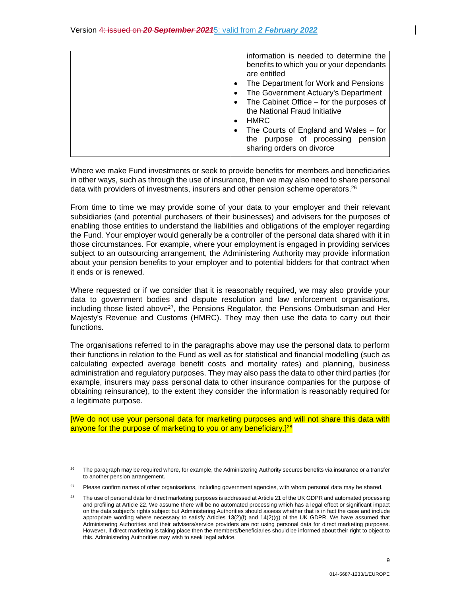| information is needed to determine the<br>benefits to which you or your dependants<br>are entitled<br>The Department for Work and Pensions<br>٠<br>The Government Actuary's Department<br>$\bullet$<br>The Cabinet Office - for the purposes of<br>the National Fraud Initiative<br><b>HMRC</b><br>٠<br>The Courts of England and Wales $-$ for<br>٠ |
|------------------------------------------------------------------------------------------------------------------------------------------------------------------------------------------------------------------------------------------------------------------------------------------------------------------------------------------------------|
| purpose of processing pension<br>the<br>sharing orders on divorce                                                                                                                                                                                                                                                                                    |

Where we make Fund investments or seek to provide benefits for members and beneficiaries in other ways, such as through the use of insurance, then we may also need to share personal data with providers of investments, insurers and other pension scheme operators.<sup>26</sup>

From time to time we may provide some of your data to your employer and their relevant subsidiaries (and potential purchasers of their businesses) and advisers for the purposes of enabling those entities to understand the liabilities and obligations of the employer regarding the Fund. Your employer would generally be a controller of the personal data shared with it in those circumstances. For example, where your employment is engaged in providing services subject to an outsourcing arrangement, the Administering Authority may provide information about your pension benefits to your employer and to potential bidders for that contract when it ends or is renewed.

Where requested or if we consider that it is reasonably required, we may also provide your data to government bodies and dispute resolution and law enforcement organisations, including those listed above $27$ , the Pensions Regulator, the Pensions Ombudsman and Her Majesty's Revenue and Customs (HMRC). They may then use the data to carry out their functions.

The organisations referred to in the paragraphs above may use the personal data to perform their functions in relation to the Fund as well as for statistical and financial modelling (such as calculating expected average benefit costs and mortality rates) and planning, business administration and regulatory purposes. They may also pass the data to other third parties (for example, insurers may pass personal data to other insurance companies for the purpose of obtaining reinsurance), to the extent they consider the information is reasonably required for a legitimate purpose.

[We do not use your personal data for marketing purposes and will not share this data with anyone for the purpose of marketing to you or any beneficiary.<sup>[28]</sup>

<sup>26</sup>The paragraph may be required where, for example, the Administering Authority secures benefits via insurance or a transfer to another pension arrangement.

<sup>&</sup>lt;sup>27</sup> Please confirm names of other organisations, including government agencies, with whom personal data may be shared.

The use of personal data for direct marketing purposes is addressed at Article 21 of the UK GDPR and automated processing and profiling at Article 22. We assume there will be no automated processing which has a legal effect or significant impact on the data subject's rights subject but Administering Authorities should assess whether that is in fact the case and include appropriate wording where necessary to satisfy Articles 13(2)(f) and 14(2)(g) of the UK GDPR. We have assumed that Administering Authorities and their advisers/service providers are not using personal data for direct marketing purposes. However, if direct marketing is taking place then the members/beneficiaries should be informed about their right to object to this. Administering Authorities may wish to seek legal advice.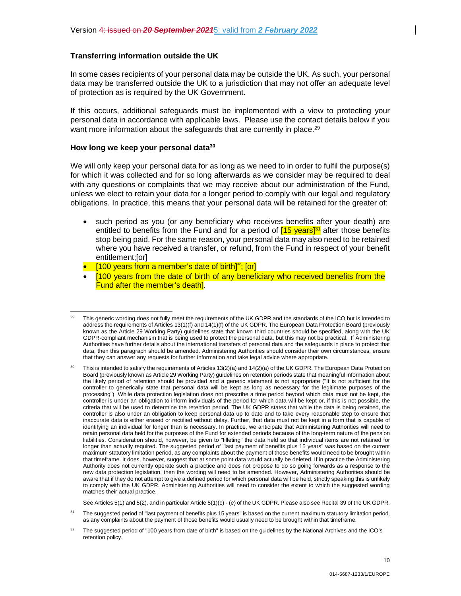In some cases recipients of your personal data may be outside the UK. As such, your personal data may be transferred outside the UK to a jurisdiction that may not offer an adequate level of protection as is required by the UK Government.

If this occurs, additional safeguards must be implemented with a view to protecting your personal data in accordance with applicable laws. Please use the contact details below if you want more information about the safeguards that are currently in place.<sup>29</sup>

#### **How long we keep your personal data<sup>30</sup>**

We will only keep your personal data for as long as we need to in order to fulfil the purpose(s) for which it was collected and for so long afterwards as we consider may be required to deal with any questions or complaints that we may receive about our administration of the Fund, unless we elect to retain your data for a longer period to comply with our legal and regulatory obligations. In practice, this means that your personal data will be retained for the greater of:

- such period as you (or any beneficiary who receives benefits after your death) are entitled to benefits from the Fund and for a period of  $[15 \text{ years}]^{31}$  after those benefits stop being paid. For the same reason, your personal data may also need to be retained where you have received a transfer, or refund, from the Fund in respect of your benefit entitlement;[or]
- $\bullet$  [100 years from a member's date of birth]<sup>32</sup>; [or]
- [100 years from the date of birth of any beneficiary who received benefits from the Fund after the member's death].

See Articles 5(1) and 5(2), and in particular Article 5(1)(c) - (e) of the UK GDPR. Please also see Recital 39 of the UK GDPR.

<sup>&</sup>lt;sup>29</sup> This generic wording does not fully meet the requirements of the UK GDPR and the standards of the ICO but is intended to address the requirements of Articles 13(1)(f) and 14(1)(f) of the UK GDPR. The European Data Protection Board (previously known as the Article 29 Working Party) guidelines state that known third countries should be specified, along with the UK GDPR-compliant mechanism that is being used to protect the personal data, but this may not be practical. If Administering Authorities have further details about the international transfers of personal data and the safeguards in place to protect that data, then this paragraph should be amended. Administering Authorities should consider their own circumstances, ensure that they can answer any requests for further information and take legal advice where appropriate.

<sup>&</sup>lt;sup>30</sup> This is intended to satisfy the requirements of Articles 13(2)(a) and 14(2)(a) of the UK GDPR. The European Data Protection Board (previously known as Article 29 Working Party) guidelines on retention periods state that meaningful information about the likely period of retention should be provided and a generic statement is not appropriate ("It is not sufficient for the controller to generically state that personal data will be kept as long as necessary for the legitimate purposes of the processing"). While data protection legislation does not prescribe a time period beyond which data must not be kept, the controller is under an obligation to inform individuals of the period for which data will be kept or, if this is not possible, the criteria that will be used to determine the retention period. The UK GDPR states that while the data is being retained, the controller is also under an obligation to keep personal data up to date and to take every reasonable step to ensure that inaccurate data is either erased or rectified without delay. Further, that data must not be kept in a form that is capable of identifying an individual for longer than is necessary. In practice, we anticipate that Administering Authorities will need to retain personal data held for the purposes of the Fund for extended periods because of the long-term nature of the pension liabilities. Consideration should, however, be given to "filleting" the data held so that individual items are not retained for longer than actually required. The suggested period of "last payment of benefits plus 15 years" was based on the current maximum statutory limitation period, as any complaints about the payment of those benefits would need to be brought within that timeframe. It does, however, suggest that at some point data would actually be deleted. If in practice the Administering Authority does not currently operate such a practice and does not propose to do so going forwards as a response to the new data protection legislation, then the wording will need to be amended. However, Administering Authorities should be aware that if they do not attempt to give a defined period for which personal data will be held, strictly speaking this is unlikely to comply with the UK GDPR. Administering Authorities will need to consider the extent to which the suggested wording matches their actual practice.

<sup>&</sup>lt;sup>31</sup> The suggested period of "last payment of benefits plus 15 years" is based on the current maximum statutory limitation period, as any complaints about the payment of those benefits would usually need to be brought within that timeframe.

<sup>&</sup>lt;sup>32</sup> The suggested period of "100 years from date of birth" is based on the guidelines by the National Archives and the ICO's retention policy.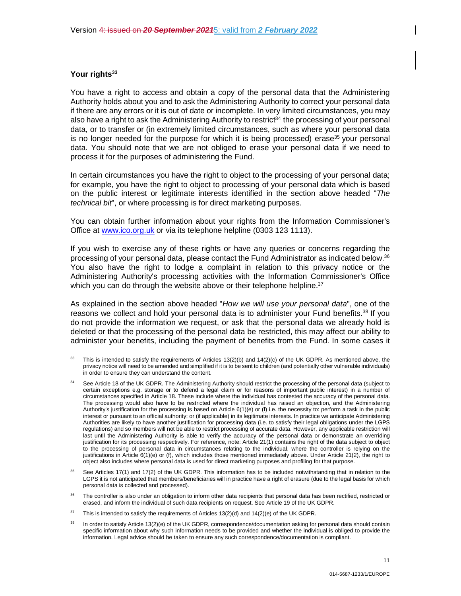# **Your rights<sup>33</sup>**

You have a right to access and obtain a copy of the personal data that the Administering Authority holds about you and to ask the Administering Authority to correct your personal data if there are any errors or it is out of date or incomplete. In very limited circumstances, you may also have a right to ask the Administering Authority to restrict<sup>34</sup> the processing of your personal data, or to transfer or (in extremely limited circumstances, such as where your personal data is no longer needed for the purpose for which it is being processed) erase<sup>35</sup> your personal data. You should note that we are not obliged to erase your personal data if we need to process it for the purposes of administering the Fund.

In certain circumstances you have the right to object to the processing of your personal data; for example, you have the right to object to processing of your personal data which is based on the public interest or legitimate interests identified in the section above headed "*The technical bit*", or where processing is for direct marketing purposes.

You can obtain further information about your rights from the Information Commissioner's Office at www.ico.org.uk or via its telephone helpline (0303 123 1113).

If you wish to exercise any of these rights or have any queries or concerns regarding the processing of your personal data, please contact the Fund Administrator as indicated below.<sup>36</sup> You also have the right to lodge a complaint in relation to this privacy notice or the Administering Authority's processing activities with the Information Commissioner's Office which you can do through the website above or their telephone helpline.<sup>37</sup>

As explained in the section above headed "*How we will use your personal data*", one of the reasons we collect and hold your personal data is to administer your Fund benefits.<sup>38</sup> If you do not provide the information we request, or ask that the personal data we already hold is deleted or that the processing of the personal data be restricted, this may affect our ability to administer your benefits, including the payment of benefits from the Fund. In some cases it

See Articles 17(1) and 17(2) of the UK GDPR. This information has to be included notwithstanding that in relation to the LGPS it is not anticipated that members/beneficiaries will in practice have a right of erasure (due to the legal basis for which personal data is collected and processed).

The controller is also under an obligation to inform other data recipients that personal data has been rectified, restricted or erased, and inform the individual of such data recipients on request. See Article 19 of the UK GDPR.

<sup>37</sup> This is intended to satisfy the requirements of Articles  $13(2)(d)$  and  $14(2)(e)$  of the UK GDPR.

<sup>&</sup>lt;sup>33</sup> This is intended to satisfy the requirements of Articles  $13(2)(b)$  and  $14(2)(c)$  of the UK GDPR. As mentioned above, the privacy notice will need to be amended and simplified if it is to be sent to children (and potentially other vulnerable individuals) in order to ensure they can understand the content.

<sup>&</sup>lt;sup>34</sup> See Article 18 of the UK GDPR. The Administering Authority should restrict the processing of the personal data (subject to certain exceptions e.g. storage or to defend a legal claim or for reasons of important public interest) in a number of circumstances specified in Article 18. These include where the individual has contested the accuracy of the personal data. The processing would also have to be restricted where the individual has raised an objection, and the Administering Authority's justification for the processing is based on Article 6(1)(e) or (f) i.e. the necessity to: perform a task in the public interest or pursuant to an official authority; or (if applicable) in its legitimate interests. In practice we anticipate Administering Authorities are likely to have another justification for processing data (i.e. to satisfy their legal obligations under the LGPS regulations) and so members will not be able to restrict processing of accurate data. However, any applicable restriction will last until the Administering Authority is able to verify the accuracy of the personal data or demonstrate an overriding justification for its processing respectively. For reference, note: Article 21(1) contains the right of the data subject to object to the processing of personal data in circumstances relating to the individual, where the controller is relying on the justifications in Article 6(1)(e) or (f), which includes those mentioned immediately above. Under Article 21(2), the right to object also includes where personal data is used for direct marketing purposes and profiling for that purpose.

In order to satisfy Article 13(2)(e) of the UK GDPR, correspondence/documentation asking for personal data should contain specific information about why such information needs to be provided and whether the individual is obliged to provide the information. Legal advice should be taken to ensure any such correspondence/documentation is compliant.